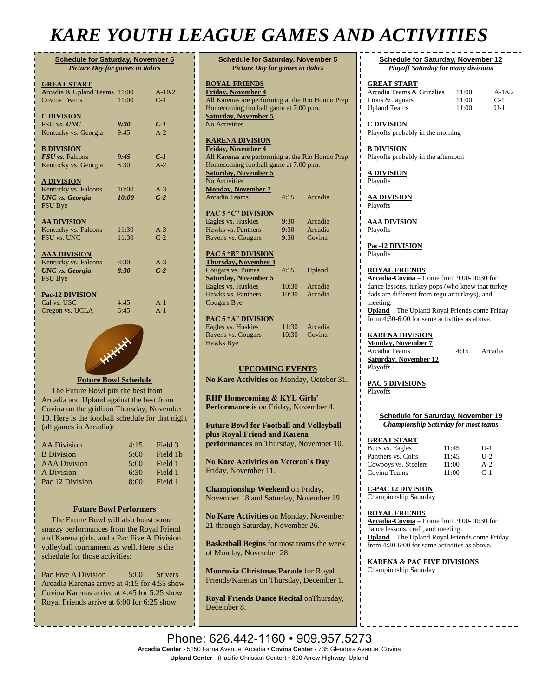## *KARE YOUTH LEAGUE GAMES AND ACTIVITIES*

**PAC**<br>Ea

**Th**<br>Co

 $\frac{Sa}{Ea}$ 

Ha

| <b>Schedule for Saturday, November 5</b><br><b>Picture Day for games in italics</b> |       |           |  |  |
|-------------------------------------------------------------------------------------|-------|-----------|--|--|
| <b>GREAT START</b>                                                                  |       |           |  |  |
| Arcadia & Upland Teams                                                              | 11:00 | $A-1 & 2$ |  |  |
| <b>Covina Teams</b>                                                                 | 11:00 | $C-1$     |  |  |
| <b>C DIVISION</b>                                                                   |       |           |  |  |
| <b>FSU</b> vs. <b>UNC</b>                                                           | 8:30  | $C-1$     |  |  |
| Kentucky vs. Georgia                                                                | 9:45  | $A-2$     |  |  |
| <b>B DIVISION</b>                                                                   |       |           |  |  |
| FSU vs. Falcons                                                                     | 9:45  | $C-1$     |  |  |
| Kentucky vs. Georgia                                                                | 8:30  | $A-2$     |  |  |
| <b>A DIVISION</b>                                                                   |       |           |  |  |
| Kentucky vs. Falcons                                                                | 10:00 | $A-3$     |  |  |
| <b>UNC</b> vs. Georgia                                                              | 10:00 | $C-2$     |  |  |
| <b>FSU Bye</b>                                                                      |       |           |  |  |
| <b>AA DIVISION</b>                                                                  |       |           |  |  |
| Kentucky vs. Falcons                                                                | 11:30 | $A-3$     |  |  |
| FSU vs. UNC                                                                         | 11:30 | $C-2$     |  |  |
| <b>AAA DIVISION</b>                                                                 |       |           |  |  |
| Kentucky vs. Falcons                                                                | 8:30  | $A-3$     |  |  |
| <b>UNC</b> vs. Georgia                                                              | 8:30  | $C-2$     |  |  |
| <b>FSU Bye</b>                                                                      |       |           |  |  |
| <b>Pac-12 DIVISION</b>                                                              |       |           |  |  |
| Cal vs. USC                                                                         | 4:45  | $A-1$     |  |  |
| Oregon vs. UCLA                                                                     | 6:45  | $A-1$     |  |  |
|                                                                                     |       |           |  |  |



 The Future Bowl pits the best from Arcadia and Upland against the best from Covina on the gridiron Thursday, November 10. Here is the football schedule for that night (all games in Arcadia):

| <b>AA Division</b>  | 4:15 | Field 3  |
|---------------------|------|----------|
| <b>B</b> Division   | 5:00 | Field 1b |
| <b>AAA</b> Division | 5:00 | Field 1  |
| A Division          | 6:30 | Field 1  |
| Pac 12 Division     | 8:00 | Field 1  |

#### **Future Bowl Performers**

 The Future Bowl will also boast some snazzy performances from the Royal Friend and Karena girls, and a Pac Five A Division volleyball tournament as well. Here is the schedule for those activities:

Pac Five A Division 5:00 Stivers Arcadia Karenas arrive at 4:15 for 4:55 show Covina Karenas arrive at 4:45 for 5:25 show Royal Friends arrive at 6:00 for 6:25 show

| <b>Schedule for Saturday, November 5</b><br><b>Picture Day for games in italics</b>                                                                                                                   |              |                    |  |  |
|-------------------------------------------------------------------------------------------------------------------------------------------------------------------------------------------------------|--------------|--------------------|--|--|
| <b>ROYAL FRIENDS</b><br><b>Friday, November 4</b><br>All Karenas are performing at the Rio Hondo Prep<br>Homecoming football game at 7:00 p.m.<br><b>Saturday, November 5</b><br><b>No Activities</b> |              |                    |  |  |
| <b>KARENA DIVISION</b>                                                                                                                                                                                |              |                    |  |  |
| <b>Friday, November 4</b>                                                                                                                                                                             |              |                    |  |  |
| All Karenas are performing at the Rio Hondo Prep<br>Homecoming football game at 7:00 p.m.<br><b>Saturday, November 5</b><br><b>No Activities</b>                                                      |              |                    |  |  |
| <b>Monday, November 7</b>                                                                                                                                                                             |              |                    |  |  |
| <b>Arcadia Teams</b>                                                                                                                                                                                  | 4:15         | Arcadia            |  |  |
| <b>PAC 5 "C" DIVISION</b>                                                                                                                                                                             |              |                    |  |  |
| Eagles vs. Huskies<br>Hawks vs. Panthers                                                                                                                                                              | 9:30<br>9:30 | Arcadia<br>Arcadia |  |  |
| Ravens vs. Cougars                                                                                                                                                                                    | 9:30         | Covina             |  |  |
|                                                                                                                                                                                                       |              |                    |  |  |
| <b>PAC 5 "B" DIVISION</b><br><b>Thursday, November 3</b><br>Cougars vs. Pumas                                                                                                                         | 4:15         | Upland             |  |  |
| <b>Saturday, November 5</b>                                                                                                                                                                           |              |                    |  |  |
| Eagles vs. Huskies                                                                                                                                                                                    | 10:30        | Arcadia            |  |  |
| Hawks vs. Panthers                                                                                                                                                                                    | 10:30        | Arcadia            |  |  |
| <b>Cougars Bye</b>                                                                                                                                                                                    |              |                    |  |  |
|                                                                                                                                                                                                       |              |                    |  |  |
| <b>PAC 5 "A" DIVISION</b><br>Eagles vs. Huskies                                                                                                                                                       | 11:30        | Arcadia            |  |  |
| Ravens vs. Cougars                                                                                                                                                                                    | 10:30        | Covina             |  |  |
| Hawks Bye                                                                                                                                                                                             |              |                    |  |  |
| <b>UPCOMING EVENTS</b>                                                                                                                                                                                |              |                    |  |  |
| No Kare Activities on Monday, October 31.                                                                                                                                                             |              |                    |  |  |
| <b>RHP Homecoming &amp; KYL Girls'</b><br>Performance is on Friday, November 4.                                                                                                                       |              |                    |  |  |
| <b>Future Bowl for Football and Volleyball</b><br>plus Royal Friend and Karena<br>performances on Thursday, November 10.                                                                              |              |                    |  |  |
| <b>No Kare Activities on Veteran's Day</b><br>Friday, November 11.                                                                                                                                    |              |                    |  |  |
| Championship Weekend on Friday,<br>November 18 and Saturday, November 19.                                                                                                                             |              |                    |  |  |
| No Kare Activities on Monday, November<br>21 through Saturday, November 26.                                                                                                                           |              |                    |  |  |
| <b>Basketball Begins</b> for most teams the week<br>of Monday, November 28.                                                                                                                           |              |                    |  |  |
| Monrovia Christmas Parade for Royal<br>Friends/Karenas on Thursday, December 1.                                                                                                                       |              |                    |  |  |
| Royal Friends Dance Recital on Thursday,                                                                                                                                                              |              |                    |  |  |

**Schedule for Saturday, November 12** *Playoff Saturday for many divisions* **GREAT START** Arcadia Teams & Grizzlies 11:00 A-1&2<br>Lions & Jaguars 11:00 C-1 Lions & Jaguars Upland Teams 11:00 U-1 **C DIVISION** Playoffs probably in the morning **B DIVISION** Playoffs probably in the afternoon **A DIVISION** Playoffs **AA DIVISION** Playoffs **AAA DIVISION** Playoffs **Pac-12 DIVISION** Playoffs **ROYAL FRIENDS Arcadia-Covina** – Come from 9:00-10:30 for dance lessons, turkey pops (who knew that turkey dads are different from regular turkeys), and meeting. **Upland** – The Upland Royal Friends come Friday from 4:30-6:00 for same activities as above. **KARENA DIVISION Monday, November 7** Arcadia Teams 4:15 Arcadia **Saturday, November 12** Playoffs **PAC 5 DIVISIONS** Playoffs **Schedule for Saturday, November 19** *Championship Saturday for most teams* **GREAT START** Bucs vs. Eagles 11:45 U-1 Panthers vs. Colts 11:45 U-2<br>Cowboys vs. Steelers 11:00 A-2 Cowboys vs. Steelers Covina Teams 11:00 C-1 **C-PAC 12 DIVISION** Championship Saturday **ROYAL FRIENDS Arcadia-Covina** – Come from 9:00-10:30 for dance lessons, craft, and meeting. **Upland** – The Upland Royal Friends come Friday from 4:30-6:00 for same activities as above. **KARENA & PAC FIVE DIVISIONS** Championship Saturday

**Breakfast with Santa** on Saturday,

December 8.